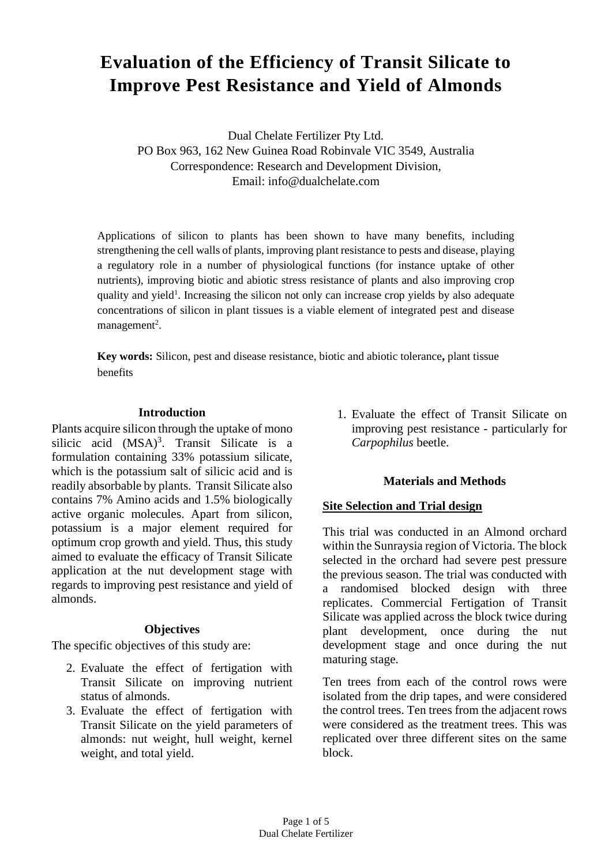# **Evaluation of the Efficiency of Transit Silicate to Improve Pest Resistance and Yield of Almonds**

Dual Chelate Fertilizer Pty Ltd. PO Box 963, 162 New Guinea Road Robinvale VIC 3549, Australia Correspondence: Research and Development Division, Email: info@dualchelate.com

Applications of silicon to plants has been shown to have many benefits, including strengthening the cell walls of plants, improving plant resistance to pests and disease, playing a regulatory role in a number of physiological functions (for instance uptake of other nutrients), improving biotic and abiotic stress resistance of plants and also improving crop quality and yield<sup>1</sup>. Increasing the silicon not only can increase crop yields by also adequate concentrations of silicon in plant tissues is a viable element of integrated pest and disease management<sup>2</sup>.

**Key words:** Silicon, pest and disease resistance, biotic and abiotic tolerance**,** plant tissue benefits

# **Introduction**

Plants acquire silicon through the uptake of mono silicic acid  $(MSA)^3$ . Transit Silicate is a formulation containing 33% potassium silicate, which is the potassium salt of silicic acid and is readily absorbable by plants. Transit Silicate also contains 7% Amino acids and 1.5% biologically active organic molecules. Apart from silicon, potassium is a major element required for optimum crop growth and yield. Thus, this study aimed to evaluate the efficacy of Transit Silicate application at the nut development stage with regards to improving pest resistance and yield of almonds.

# **Objectives**

The specific objectives of this study are:

- 2. Evaluate the effect of fertigation with Transit Silicate on improving nutrient status of almonds.
- 3. Evaluate the effect of fertigation with Transit Silicate on the yield parameters of almonds: nut weight, hull weight, kernel weight, and total yield.

1. Evaluate the effect of Transit Silicate on improving pest resistance - particularly for *Carpophilus* beetle.

# **Materials and Methods**

# **Site Selection and Trial design**

This trial was conducted in an Almond orchard within the Sunraysia region of Victoria. The block selected in the orchard had severe pest pressure the previous season. The trial was conducted with a randomised blocked design with three replicates. Commercial Fertigation of Transit Silicate was applied across the block twice during plant development, once during the nut development stage and once during the nut maturing stage.

Ten trees from each of the control rows were isolated from the drip tapes, and were considered the control trees. Ten trees from the adjacent rows were considered as the treatment trees. This was replicated over three different sites on the same block.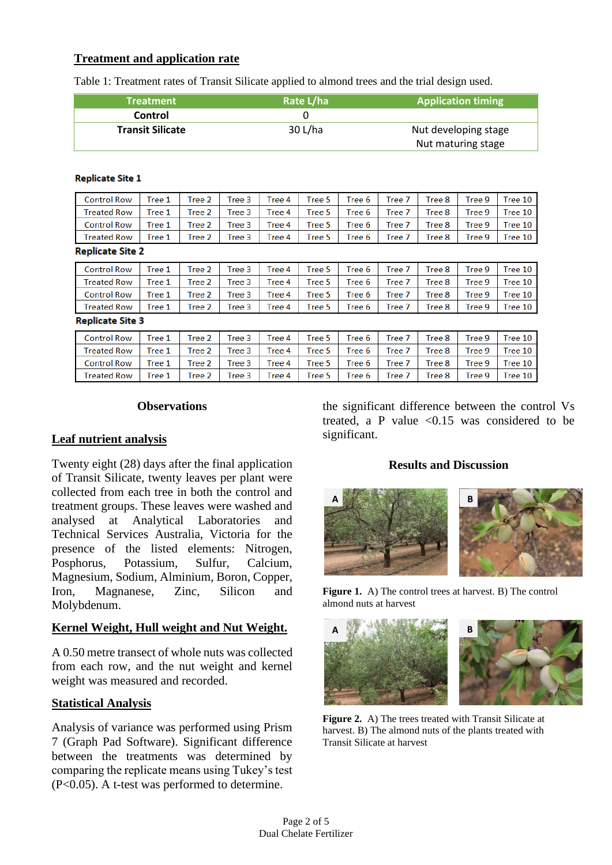# **Treatment and application rate**

Table 1: Treatment rates of Transit Silicate applied to almond trees and the trial design used.

| <b>Treatment</b>        | Rate L/ha | <b>Application timing</b> |
|-------------------------|-----------|---------------------------|
| Control                 |           |                           |
| <b>Transit Silicate</b> | 30 L/ha   | Nut developing stage      |
|                         |           | Nut maturing stage        |

#### **Replicate Site 1**

| <b>Control Row</b>      | Tree 1 | Tree 2 | Tree 3 | Tree 4 | Tree 5 | Tree 6 | Tree 7 | Tree 8 | Tree 9 | Tree 10 |  |  |
|-------------------------|--------|--------|--------|--------|--------|--------|--------|--------|--------|---------|--|--|
| <b>Treated Row</b>      | Tree 1 | Tree 2 | Tree 3 | Tree 4 | Tree 5 | Tree 6 | Tree 7 | Tree 8 | Tree 9 | Tree 10 |  |  |
| <b>Control Row</b>      | Tree 1 | Tree 2 | Tree 3 | Tree 4 | Tree 5 | Tree 6 | Tree 7 | Tree 8 | Tree 9 | Tree 10 |  |  |
| <b>Treated Row</b>      | Tree 1 | Tree 2 | Tree 3 | Tree 4 | Tree 5 | Tree 6 | Tree 7 | Tree 8 | Tree 9 | Tree 10 |  |  |
| <b>Replicate Site 2</b> |        |        |        |        |        |        |        |        |        |         |  |  |
| <b>Control Row</b>      | Tree 1 | Tree 2 | Tree 3 | Tree 4 | Tree 5 | Tree 6 | Tree 7 | Tree 8 | Tree 9 | Tree 10 |  |  |
| <b>Treated Row</b>      | Tree 1 | Tree 2 | Tree 3 | Tree 4 | Tree 5 | Tree 6 | Tree 7 | Tree 8 | Tree 9 | Tree 10 |  |  |
| <b>Control Row</b>      | Tree 1 | Tree 2 | Tree 3 | Tree 4 | Tree 5 | Tree 6 | Tree 7 | Tree 8 | Tree 9 | Tree 10 |  |  |
| <b>Treated Row</b>      | Tree 1 | Tree 2 | Tree 3 | Tree 4 | Tree 5 | Tree 6 | Tree 7 | Tree 8 | Tree 9 | Tree 10 |  |  |
| <b>Replicate Site 3</b> |        |        |        |        |        |        |        |        |        |         |  |  |
| <b>Control Row</b>      | Tree 1 | Tree 2 | Tree 3 | Tree 4 | Tree 5 | Tree 6 | Tree 7 | Tree 8 | Tree 9 | Tree 10 |  |  |
| <b>Treated Row</b>      | Tree 1 | Tree 2 | Tree 3 | Tree 4 | Tree 5 | Tree 6 | Tree 7 | Tree 8 | Tree 9 | Tree 10 |  |  |
| <b>Control Row</b>      | Tree 1 | Tree 2 | Tree 3 | Tree 4 | Tree 5 | Tree 6 | Tree 7 | Tree 8 | Tree 9 | Tree 10 |  |  |

Tree 5

Tree 6

Tree 7

#### **Observations**

Tree 2

Tree 3

Tree 4

Tree 1

# **Leaf nutrient analysis**

**Treated Row** 

Twenty eight (28) days after the final application of Transit Silicate, twenty leaves per plant were collected from each tree in both the control and treatment groups. These leaves were washed and analysed at Analytical Laboratories and Technical Services Australia, Victoria for the presence of the listed elements: Nitrogen, Posphorus, Potassium, Sulfur, Calcium, Magnesium, Sodium, Alminium, Boron, Copper, Iron, Magnanese, Zinc, Silicon and Molybdenum.

# **Kernel Weight, Hull weight and Nut Weight.**

A 0.50 metre transect of whole nuts was collected from each row, and the nut weight and kernel weight was measured and recorded.

# **Statistical Analysis**

Analysis of variance was performed using Prism 7 (Graph Pad Software). Significant difference between the treatments was determined by comparing the replicate means using Tukey's test (P<0.05). A t-test was performed to determine.

the significant difference between the control Vs treated, a P value  $\langle 0.15 \rangle$  was considered to be significant.

Tree 9

Tree 10

Tree 8

# **Results and Discussion**



**Figure 1.** A) The control trees at harvest. B) The control almond nuts at harvest



**Figure 2.** A) The trees treated with Transit Silicate at harvest. B) The almond nuts of the plants treated with Transit Silicate at harvest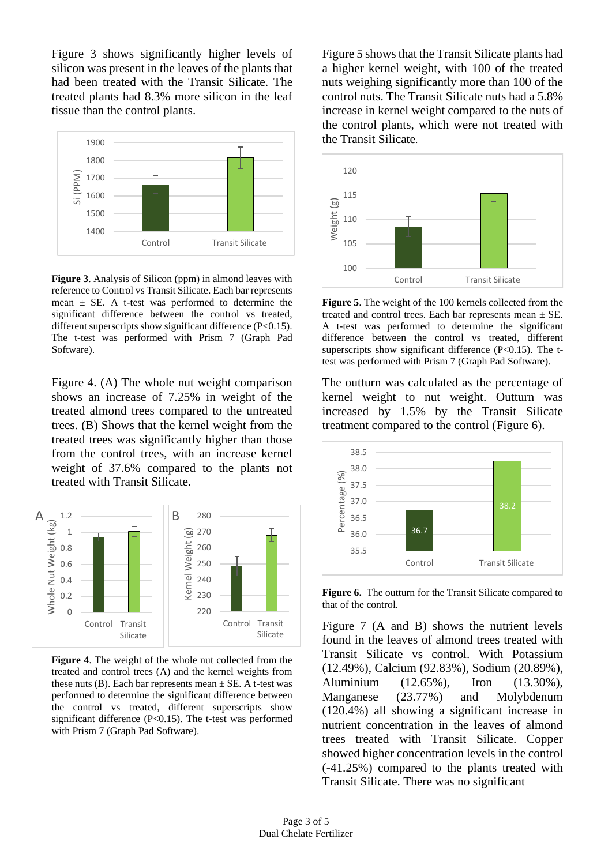Figure 3 shows significantly higher levels of silicon was present in the leaves of the plants that had been treated with the Transit Silicate. The treated plants had 8.3% more silicon in the leaf tissue than the control plants.



**Figure 3**. Analysis of Silicon (ppm) in almond leaves with reference to Control vs Transit Silicate. Each bar represents mean  $\pm$  SE. A t-test was performed to determine the significant difference between the control vs treated, different superscripts show significant difference (P<0.15). The t-test was performed with Prism 7 (Graph Pad Software).

Figure 4. (A) The whole nut weight comparison shows an increase of 7.25% in weight of the treated almond trees compared to the untreated trees. (B) Shows that the kernel weight from the treated trees was significantly higher than those from the control trees, with an increase kernel weight of 37.6% compared to the plants not treated with Transit Silicate.



**Figure 4**. The weight of the whole nut collected from the treated and control trees (A) and the kernel weights from these nuts (B). Each bar represents mean  $\pm$  SE. A t-test was performed to determine the significant difference between the control vs treated, different superscripts show significant difference (P<0.15). The t-test was performed with Prism 7 (Graph Pad Software).

Figure 5 shows that the Transit Silicate plants had a higher kernel weight, with 100 of the treated nuts weighing significantly more than 100 of the control nuts. The Transit Silicate nuts had a 5.8% increase in kernel weight compared to the nuts of the control plants, which were not treated with the Transit Silicate.



**Figure 5**. The weight of the 100 kernels collected from the treated and control trees. Each bar represents mean  $\pm$  SE. A t-test was performed to determine the significant difference between the control vs treated, different superscripts show significant difference (P<0.15). The ttest was performed with Prism 7 (Graph Pad Software).

The outturn was calculated as the percentage of kernel weight to nut weight. Outturn was increased by 1.5% by the Transit Silicate treatment compared to the control (Figure 6).



**Figure 6.** The outturn for the Transit Silicate compared to that of the control.

Figure 7 (A and B) shows the nutrient levels found in the leaves of almond trees treated with Transit Silicate vs control. With Potassium (12.49%), Calcium (92.83%), Sodium (20.89%), Aluminium (12.65%), Iron (13.30%), Manganese (23.77%) and Molybdenum (120.4%) all showing a significant increase in nutrient concentration in the leaves of almond trees treated with Transit Silicate. Copper showed higher concentration levels in the control (-41.25%) compared to the plants treated with Transit Silicate. There was no significant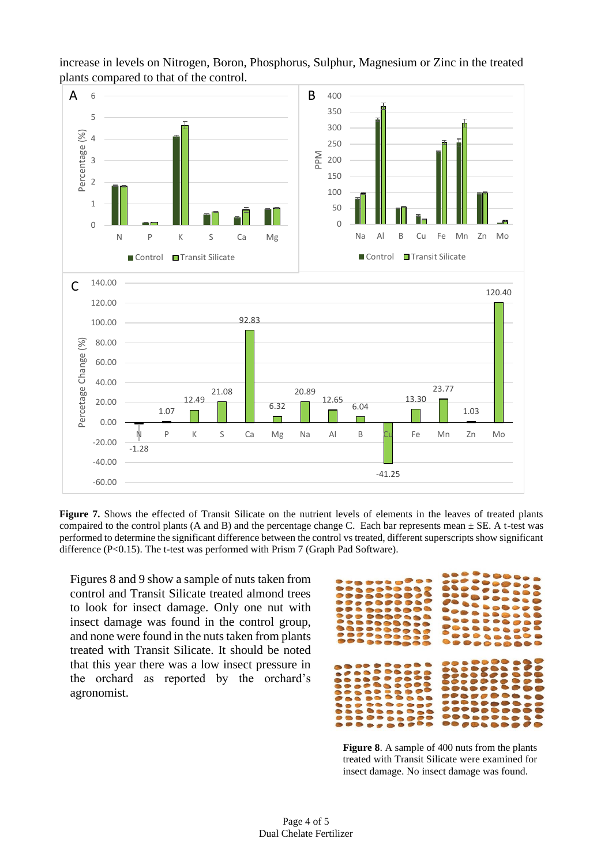

increase in levels on Nitrogen, Boron, Phosphorus, Sulphur, Magnesium or Zinc in the treated plants compared to that of the control.

**Figure 7.** Shows the effected of Transit Silicate on the nutrient levels of elements in the leaves of treated plants compaired to the control plants (A and B) and the percentage change C. Each bar represents mean  $\pm$  SE. A t-test was performed to determine the significant difference between the control vs treated, different superscripts show significant difference (P<0.15). The t-test was performed with Prism 7 (Graph Pad Software).

Figures 8 and 9 show a sample of nuts taken from control and Transit Silicate treated almond trees to look for insect damage. Only one nut with insect damage was found in the control group, and none were found in the nuts taken from plants treated with Transit Silicate. It should be noted that this year there was a low insect pressure in the orchard as reported by the orchard's agronomist.



**Figure 8**. A sample of 400 nuts from the plants treated with Transit Silicate were examined for insect damage. No insect damage was found.